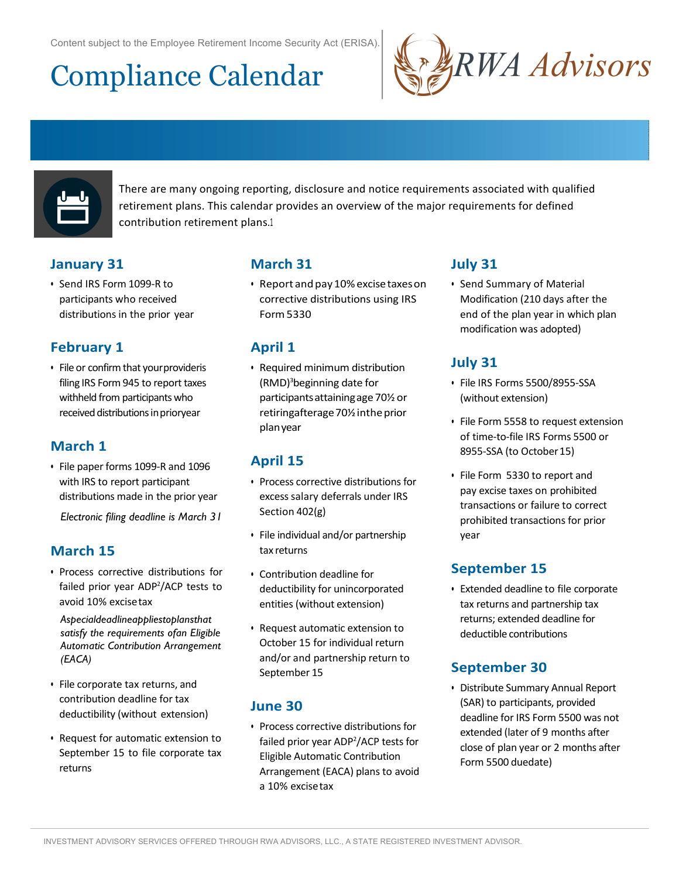Content subject to the Employee Retirement Income Security Act (ERISA).

# Compliance Calendar





There are many ongoing reporting, disclosure and notice requirements associated with qualified retirement plans. This calendar provides an overview of the major requirements for defined contribution retirement plans.1

## **January 31**

• Send IRS Form 1099-R to participants who received distributions in the prior year

## **February 1**

• File or confirm that your provideris filing IRS Form 945 to report taxes withheld from participants who received distributions in prioryear

# **March 1**

• File paper forms 1099-R and 1096 with IRS to report participant distributions made in the prior year

*Electronic filing deadline is March 31*

### **March 15**

• Process corrective distributions for failed prior year ADP<sup>2</sup>/ACP tests to avoid 10% excisetax

*Aspecialdeadlineappliestoplansthat satisfy the requirements ofan Eligible Automatic Contribution Arrangement (EACA)*

- File corporate tax returns, and contribution deadline for tax deductibility (without extension)
- Request for automatic extension to September 15 to file corporate tax returns

# **March 31**

• Report andpay10%excisetaxeson corrective distributions using IRS Form5330

# **April 1**

• Required minimum distribution (RMD)<sup>3</sup>beginning date for participantsattainingage70½or retiringafterage 70% inthe prior planyear

### **April 15**

- Process corrective distributions for excess salary deferrals under IRS Section 402(g)
- File individual and/or partnership tax returns
- Contribution deadline for deductibility for unincorporated entities (without extension)
- Request automatic extension to October 15 for individual return and/or and partnership return to September 15

#### **June 30**

• Process corrective distributions for failed prior year ADP<sup>2</sup>/ACP tests for Eligible Automatic Contribution Arrangement (EACA) plans to avoid a 10% excisetax

# **July 31**

• Send Summary of Material Modification (210 days after the end of the plan year in which plan modification was adopted)

## **July 31**

- File IRS Forms 5500/8955-SSA (without extension)
- File Form 5558 to request extension of time-to-file IRS Forms 5500 or 8955-SSA (to October 15)
- File Form 5330 to report and pay excise taxes on prohibited transactions or failure to correct prohibited transactions for prior year

# **September 15**

• Extended deadline to file corporate tax returns and partnership tax returns; extended deadline for deductible contributions

# **September 30**

• Distribute Summary Annual Report (SAR) to participants, provided deadline for IRS Form 5500 was not extended (later of 9 months after close of plan year or 2 months after Form 5500 duedate)